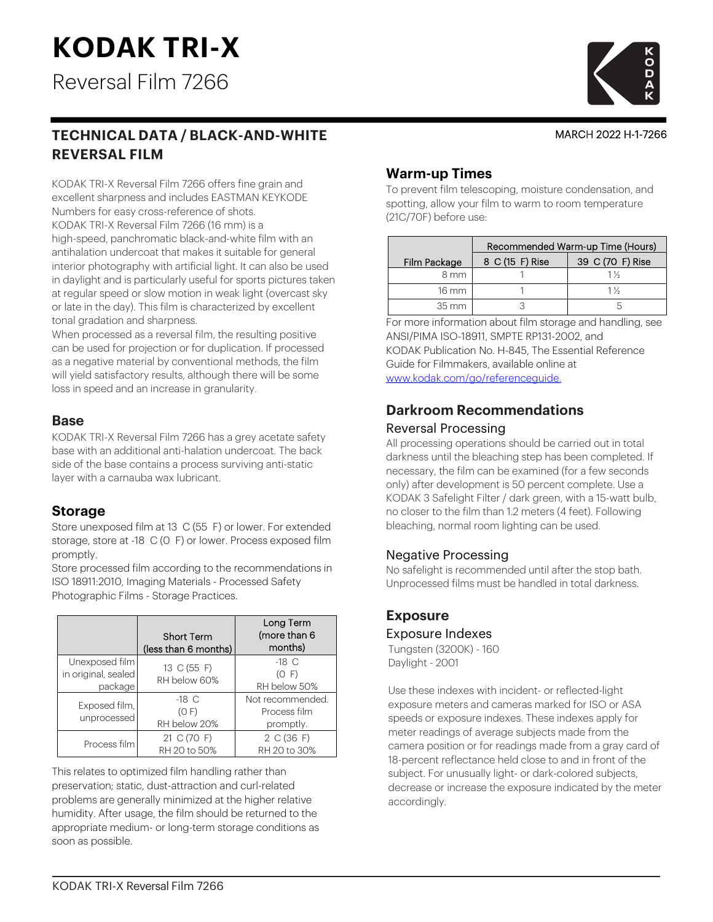# **KODAK TRI-X**

Reversal Film 7266

# **TECHNICAL DATA / BLACK-AND-WHITE REVERSAL FILM**

KODAK TRI-X Reversal Film 7266 offers fine grain and excellent sharpness and includes EASTMAN KEYKODE Numbers for easy cross-reference of shots. KODAK TRI-X Reversal Film 7266 (16 mm) is a high-speed, panchromatic black-and-white film with an antihalation undercoat that makes it suitable for general interior photography with artificial light. It can also be used in daylight and is particularly useful for sports pictures taken at regular speed or slow motion in weak light (overcast sky or late in the day). This film is characterized by excellent tonal gradation and sharpness.

When processed as a reversal film, the resulting positive can be used for projection or for duplication. If processed as a negative material by conventional methods, the film will yield satisfactory results, although there will be some loss in speed and an increase in granularity.

#### **Base**

KODAK TRI-X Reversal Film 7266 has a grey acetate safety base with an additional anti-halation undercoat. The back side of the base contains a process surviving anti-static layer with a carnauba wax lubricant.

#### **Storage**

Store unexposed film at 13 C (55 F) or lower. For extended storage, store at -18 C (0 F) or lower. Process exposed film promptly.

Store processed film according to the recommendations in ISO 18911:2010, Imaging Materials - Processed Safety Photographic Films - Storage Practices.

|                                                  | <b>Short Term</b>                | Long Term<br>(more than 6                     |
|--------------------------------------------------|----------------------------------|-----------------------------------------------|
|                                                  | (less than 6 months)             | months)                                       |
| Unexposed film<br>in original, sealed<br>package | 13 C (55 F)<br>RH below 60%      | $-18$ C<br>(O F)<br>RH below 50%              |
| Exposed film,<br>unprocessed                     | $-18$ C<br>(O F)<br>RH below 20% | Not recommended.<br>Process film<br>promptly. |
| Process film                                     | 21 C (70 F)<br>RH 20 to 50%      | 2 C (36 F)<br>RH 20 to 30%                    |

This relates to optimized film handling rather than preservation; static, dust-attraction and curl-related problems are generally minimized at the higher relative humidity. After usage, the film should be returned to the appropriate medium- or long-term storage conditions as soon as possible.

# **Warm-up Times**

To prevent film telescoping, moisture condensation, and spotting, allow your film to warm to room temperature (21C/70F) before use:

|                     | Recommended Warm-up Time (Hours) |                  |  |  |  |  |
|---------------------|----------------------------------|------------------|--|--|--|--|
| Film Package        | 8 C (15 F) Rise                  | 39 C (70 F) Rise |  |  |  |  |
| 8 mm                |                                  | $1\frac{1}{2}$   |  |  |  |  |
| $16 \text{ mm}$     |                                  | $1\%$            |  |  |  |  |
| $35 \, \mathrm{mm}$ |                                  |                  |  |  |  |  |

For more information about film storage and handling, see ANSI/PIMA ISO-18911, SMPTE RP131-2002, and KODAK Publication No. H-845, The Essential Reference Guide for Filmmakers, available online at [www.kodak.com/go/referenceguide.](http://www.kodak.com/go/referenceguide)

# **Darkroom Recommendations**

#### Reversal Processing

All processing operations should be carried out in total darkness until the bleaching step has been completed. If necessary, the film can be examined (for a few seconds only) after development is 50 percent complete. Use a KODAK 3 Safelight Filter / dark green, with a 15-watt bulb, no closer to the film than 1.2 meters (4 feet). Following bleaching, normal room lighting can be used.

#### Negative Processing

No safelight is recommended until after the stop bath. Unprocessed films must be handled in total darkness.

# **Exposure**

#### Exposure Indexes

Tungsten (3200K) - 160 Daylight - 2001

Use these indexes with incident- or reflected-light exposure meters and cameras marked for ISO or ASA speeds or exposure indexes. These indexes apply for meter readings of average subjects made from the camera position or for readings made from a gray card of 18-percent reflectance held close to and in front of the subject. For unusually light- or dark-colored subjects, decrease or increase the exposure indicated by the meter accordingly.



MARCH 2022 H-1-7266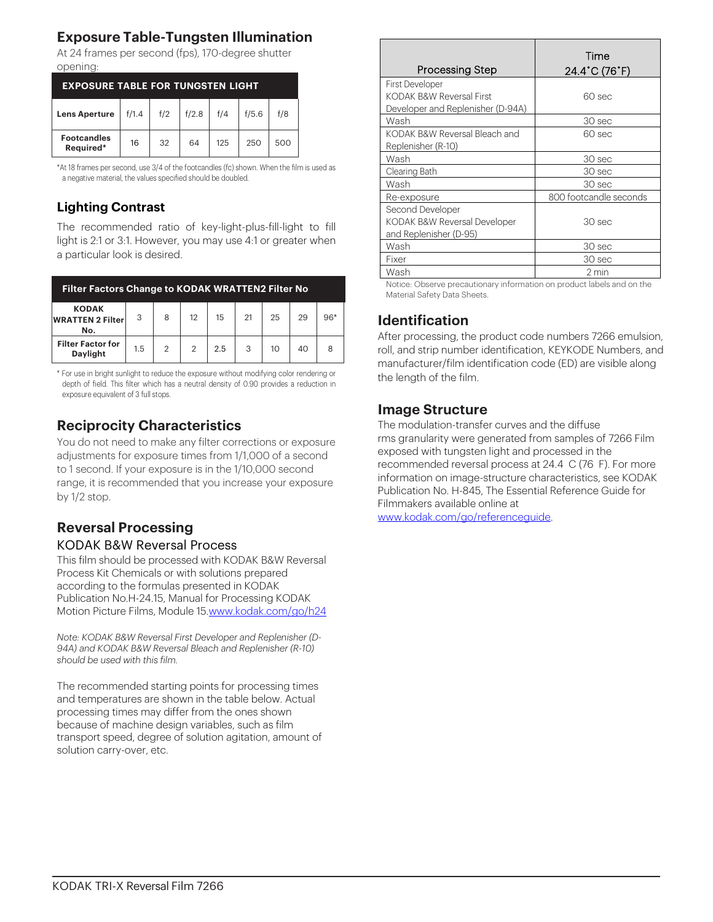# **Exposure Table-Tungsten Illumination**

At 24 frames per second (fps), 170-degree shutter opening:

| <b>EXPOSURE TABLE FOR TUNGSTEN LIGHT</b> |       |     |       |     |       |     |  |
|------------------------------------------|-------|-----|-------|-----|-------|-----|--|
| <b>Lens Aperture</b>                     | f/1.4 | f/2 | f/2.8 | f/4 | f/5.6 | f/8 |  |
| <b>Footcandles</b><br>Required*          | 16    | 32  | 64    | 125 | 250   | 500 |  |

\*At 18 frames per second, use 3/4 of the footcandles (fc) shown. When the film is used as a negative material, the values specified should be doubled.

## **Lighting Contrast**

The recommended ratio of key-light-plus-fill-light to fill light is 2:1 or 3:1. However, you may use 4:1 or greater when a particular look is desired.

| <b>Filter Factors Change to KODAK WRATTEN2 Filter No</b> |     |                |                |     |    |    |    |       |
|----------------------------------------------------------|-----|----------------|----------------|-----|----|----|----|-------|
| <b>KODAK</b><br><b>WRATTEN 2 Filter</b><br>No.           | 3   | 8              | 12             | 15  | 21 | 25 | 29 | $96*$ |
| <b>Filter Factor for</b><br>Daylight                     | 1.5 | $\overline{2}$ | $\overline{2}$ | 2.5 | 3  | 10 | 40 |       |

\* For use in bright sunlight to reduce the exposure without modifying color rendering or depth of field. This filter which has a neutral density of 0.90 provides a reduction in exposure equivalent of 3 full stops.

# **Reciprocity Characteristics**

You do not need to make any filter corrections or exposure adjustments for exposure times from 1/1,000 of a second to 1 second. If your exposure is in the 1/10,000 second range, it is recommended that you increase your exposure by 1/2 stop.

# **Reversal Processing**

#### KODAK B&W Reversal Process

This film should be processed with KODAK B&W Reversal Process Kit Chemicals or with solutions prepared according to the formulas presented in KODAK Publication No.H-24.15, Manual for Processing KODAK Motion Picture Films, Module 1[5.www.kodak.com/go/h24](http://www.kodak.com/go/h24)

*Note: KODAK B&W Reversal First Developer and Replenisher (D-94A) and KODAK B&W Reversal Bleach and Replenisher (R-10) should be used with this film.*

The recommended starting points for processing times and temperatures are shown in the table below. Actual processing times may differ from the ones shown because of machine design variables, such as film transport speed, degree of solution agitation, amount of solution carry-over, etc.

| Processing Step                                                                         | Time<br>$24.4^{\circ}$ C (76 $^{\circ}$ F) |
|-----------------------------------------------------------------------------------------|--------------------------------------------|
| <b>First Developer</b><br>KODAK B&W Reversal First<br>Developer and Replenisher (D-94A) | 60 sec                                     |
| Wash                                                                                    | 30 sec                                     |
| KODAK B&W Reversal Bleach and<br>Replenisher (R-10)                                     | 60 sec                                     |
| Wash                                                                                    | 30 sec                                     |
| Clearing Bath                                                                           | 30 sec                                     |
| Wash                                                                                    | 30 sec                                     |
| Re-exposure                                                                             | 800 footcandle seconds                     |
| Second Developer<br>KODAK B&W Reversal Developer<br>and Replenisher (D-95)              | 30 sec                                     |
| Wash                                                                                    | 30 sec                                     |
| Fixer                                                                                   | 30 sec                                     |
| Wash                                                                                    | 2 min                                      |

Notice: Observe precautionary information on product labels and on the Material Safety Data Sheets.

# **Identification**

After processing, the product code numbers 7266 emulsion, roll, and strip number identification, KEYKODE Numbers, and manufacturer/film identification code (ED) are visible along the length of the film.

## **Image Structure**

The modulation-transfer curves and the diffuse rms granularity were generated from samples of 7266 Film exposed with tungsten light and processed in the recommended reversal process at 24.4 C (76 F). For more information on image-structure characteristics, see KODAK Publication No. H-845, The Essential Reference Guide for Filmmakers available online at

[www.kodak.com/go/referenceguide.](http://www.kodak.com/go/referenceguide)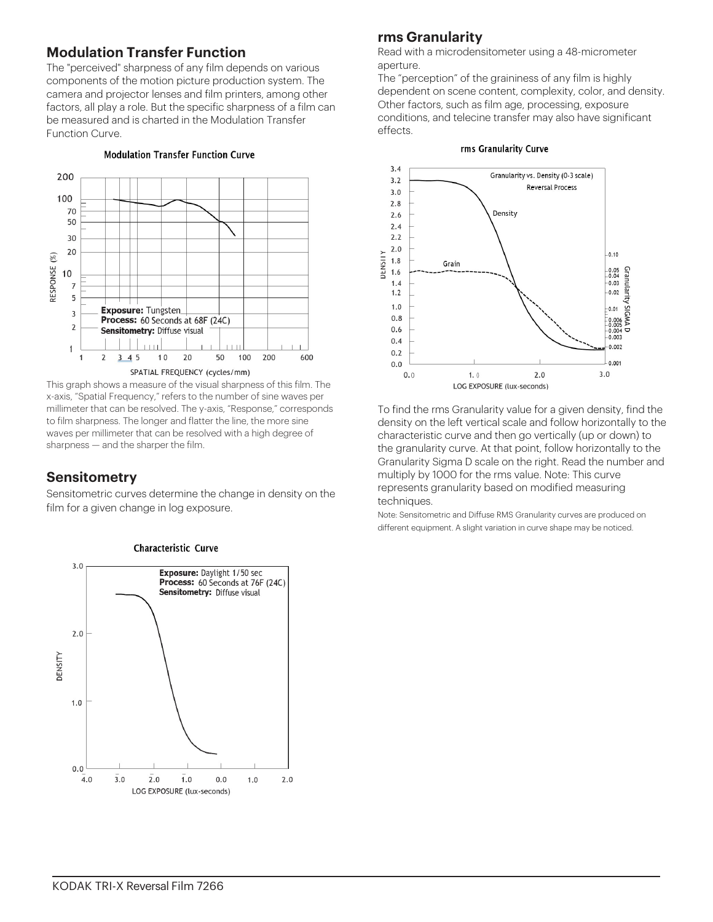# **Modulation Transfer Function**

The "perceived" sharpness of any film depends on various components of the motion picture production system. The camera and projector lenses and film printers, among other factors, all play a role. But the specific sharpness of a film can be measured and is charted in the Modulation Transfer Function Curve.

#### **Modulation Transfer Function Curve**



This graph shows a measure of the visual sharpness of this film. The x-axis, "Spatial Frequency," refers to the number of sine waves per millimeter that can be resolved. The y-axis, "Response," corresponds to film sharpness. The longer and flatter the line, the more sine waves per millimeter that can be resolved with a high degree of sharpness — and the sharper the film.

#### **Sensitometry**

Sensitometric curves determine the change in density on the film for a given change in log exposure.



# **rms Granularity**

Read with a microdensitometer using a 48-micrometer aperture.

The "perception" of the graininess of any film is highly dependent on scene content, complexity, color, and density. Other factors, such as film age, processing, exposure conditions, and telecine transfer may also have significant effects.

#### rms Granularity Curve



To find the rms Granularity value for a given density, find the density on the left vertical scale and follow horizontally to the characteristic curve and then go vertically (up or down) to the granularity curve. At that point, follow horizontally to the Granularity Sigma D scale on the right. Read the number and multiply by 1000 for the rms value. Note: This curve represents granularity based on modified measuring techniques.

Note: Sensitometric and Diffuse RMS Granularity curves are produced on different equipment. A slight variation in curve shape may be noticed.



#### Characteristic Curve